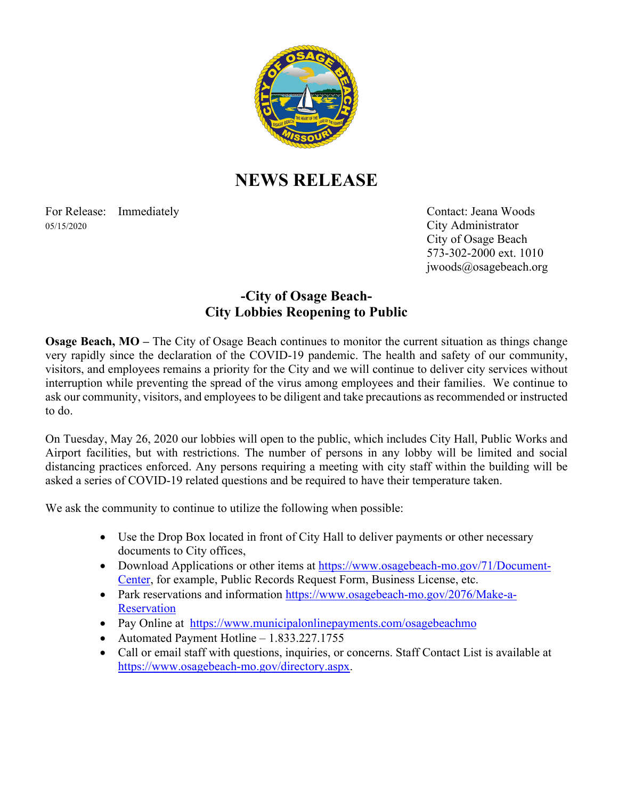

## **NEWS RELEASE**

For Release: Immediately Contact: Jeana Woods 05/15/2020 City Administrator

 City of Osage Beach 573-302-2000 ext. 1010 jwoods@osagebeach.org

## **-City of Osage Beach-City Lobbies Reopening to Public**

**Osage Beach, MO** – The City of Osage Beach continues to monitor the current situation as things change very rapidly since the declaration of the COVID-19 pandemic. The health and safety of our community, visitors, and employees remains a priority for the City and we will continue to deliver city services without interruption while preventing the spread of the virus among employees and their families. We continue to ask our community, visitors, and employees to be diligent and take precautions as recommended or instructed to do.

On Tuesday, May 26, 2020 our lobbies will open to the public, which includes City Hall, Public Works and Airport facilities, but with restrictions. The number of persons in any lobby will be limited and social distancing practices enforced. Any persons requiring a meeting with city staff within the building will be asked a series of COVID-19 related questions and be required to have their temperature taken.

We ask the community to continue to utilize the following when possible:

- Use the Drop Box located in front of City Hall to deliver payments or other necessary documents to City offices,
- Download Applications or other items at https://www.osagebeach-mo.gov/71/Document-Center, for example, Public Records Request Form, Business License, etc.
- Park reservations and information https://www.osagebeach-mo.gov/2076/Make-a-**Reservation**
- Pay Online at https://www.municipalonlinepayments.com/osagebeachmo
- Automated Payment Hotline 1.833.227.1755
- Call or email staff with questions, inquiries, or concerns. Staff Contact List is available at https://www.osagebeach-mo.gov/directory.aspx.